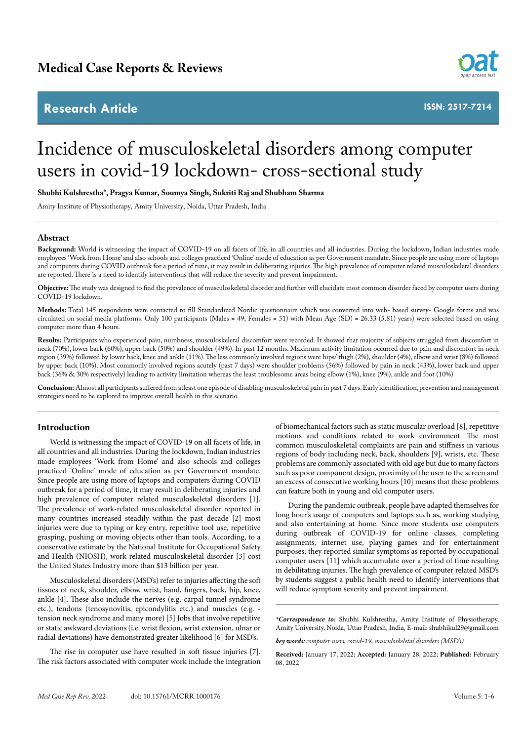## **Research Article**



**ISSN: 2517-7214**

# Incidence of musculoskeletal disorders among computer users in covid-19 lockdown- cross-sectional study

#### **Shubhi Kulshrestha\*, Pragya Kumar, Soumya Singh, Sukriti Raj and Shubham Sharma**

Amity Institute of Physiotherapy, Amity University, Noida, Uttar Pradesh, India

## **Abstract**

Background: World is witnessing the impact of COVID-19 on all facets of life, in all countries and all industries. During the lockdown, Indian industries made employees 'Work from Home' and also schools and colleges practiced 'Online' mode of education as per Government mandate. Since people are using more of laptops and computers during COVID outbreak for a period of time, it may result in deliberating injuries. The high prevalence of computer related musculoskeletal disorders are reported. There is a need to identify interventions that will reduce the severity and prevent impairment.

**Objective:** The study was designed to find the prevalence of musculoskeletal disorder and further will elucidate most common disorder faced by computer users during COVID-19 lockdown.

**Methods:** Total 145 respondents were contacted to fill Standardized Nordic questionnaire which was converted into web- based survey- Google forms and was circulated on social media platforms. Only 100 participants (Males = 49; Females = 51) with Mean Age (SD) = 26.33 (5.81) years) were selected based on using computer more than 4 hours.

**Results:** Participants who experienced pain, numbness, musculoskeletal discomfort were recorded. It showed that majority of subjects struggled from discomfort in neck (70%), lower back (60%), upper back (50%) and shoulder (49%). In past 12 months. Maximum activity limitation occurred due to pain and discomfort in neck region (39%) followed by lower back, knee and ankle (11%). The less commonly involved regions were hips/ thigh (2%), shoulder (4%), elbow and wrist (8%) followed by upper back (10%). Most commonly involved regions acutely (past 7 days) were shoulder problems (56%) followed by pain in neck (43%), lower back and upper back (36% & 30% respectively) leading to activity limitation whereas the least troublesome areas being elbow (1%), knee (9%), ankle and foot (10%)

**Conclusion:** Almost all participants suffered from atleast one episode of disabling musculoskeletal pain in past 7 days. Early identification, prevention and management strategies need to be explored to improve overall health in this scenario.

## **Introduction**

World is witnessing the impact of COVID-19 on all facets of life, in all countries and all industries. During the lockdown, Indian industries made employees 'Work from Home' and also schools and colleges practiced 'Online' mode of education as per Government mandate. Since people are using more of laptops and computers during COVID outbreak for a period of time, it may result in deliberating injuries and high prevalence of computer related musculoskeletal disorders [1]. The prevalence of work-related musculoskeletal disorder reported in many countries increased steadily within the past decade [2] most injuries were due to typing or key entry, repetitive tool use, repetitive grasping, pushing or moving objects other than tools. According, to a conservative estimate by the National Institute for Occupational Safety and Health (NIOSH), work related musculoskeletal disorder [3] cost the United States Industry more than \$13 billion per year.

Musculoskeletal disorders (MSD's) refer to injuries affecting the soft tissues of neck, shoulder, elbow, wrist, hand, fingers, back, hip, knee, ankle [4]. These also include the nerves (e.g.-carpal tunnel syndrome etc.), tendons (tenosynovitis, epicondylitis etc.) and muscles (e.g. tension neck syndrome and many more) [5] Jobs that involve repetitive or static awkward deviations (i.e. wrist flexion, wrist extension, ulnar or radial deviations) have demonstrated greater likelihood [6] for MSD's.

The rise in computer use have resulted in soft tissue injuries [7]. The risk factors associated with computer work include the integration

of biomechanical factors such as static muscular overload [8], repetitive motions and conditions related to work environment. The most common musculoskeletal complaints are pain and stiffness in various regions of body including neck, back, shoulders [9], wrists, etc. These problems are commonly associated with old age but due to many factors such as poor component design, proximity of the user to the screen and an excess of consecutive working hours [10] means that these problems can feature both in young and old computer users.

During the pandemic outbreak, people have adapted themselves for long hour's usage of computers and laptops such as, working studying and also entertaining at home. Since more students use computers during outbreak of COVID-19 for online classes, completing assignments, internet use, playing games and for entertainment purposes; they reported similar symptoms as reported by occupational computer users [11] which accumulate over a period of time resulting in debilitating injuries. The high prevalence of computer related MSD's by students suggest a public health need to identify interventions that will reduce symptom severity and prevent impairment.

*\*Correspondence to:* Shubhi Kulshrestha, Amity Institute of Physiotherapy, Amity University, Noida, Uttar Pradesh, India, E-mail: shubhikul29@gmail.com

*key words: computer users, covid-19, musculoskeletal disorders (MSD's)*

**Received:** January 17, 2022; **Accepted:** January 28, 2022; **Published:** February 08, 2022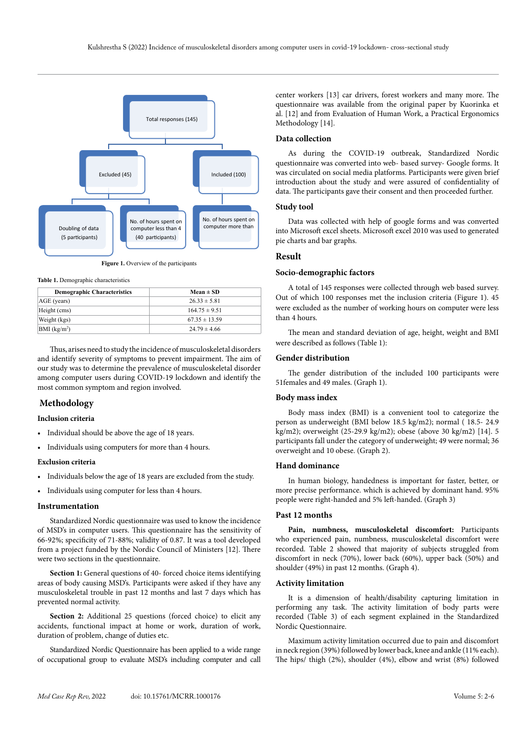

**Figure 1.** Overview of the participants

**Table 1.** Demographic characteristics

| <b>Demographic Characteristics</b> | $Mean \pm SD$     |
|------------------------------------|-------------------|
| AGE (years)                        | $26.33 \pm 5.81$  |
| Height (cms)                       | $164.75 \pm 9.51$ |
| Weight (kgs)                       | $67.35 \pm 13.59$ |
| BMI (kg/m <sup>2</sup> )           | $24.79 \pm 4.66$  |

Thus, arises need to study the incidence of musculoskeletal disorders and identify severity of symptoms to prevent impairment. The aim of our study was to determine the prevalence of musculoskeletal disorder among computer users during COVID-19 lockdown and identify the most common symptom and region involved.

## **Methodology**

## **Inclusion criteria**

- Individual should be above the age of 18 years.
- • Individuals using computers for more than 4 hours.

## **Exclusion criteria**

- • Individuals below the age of 18 years are excluded from the study.
- • Individuals using computer for less than 4 hours.

#### **Instrumentation**

Standardized Nordic questionnaire was used to know the incidence of MSD's in computer users. This questionnaire has the sensitivity of 66-92%; specificity of 71-88%; validity of 0.87. It was a tool developed from a project funded by the Nordic Council of Ministers [12]. There were two sections in the questionnaire.

Section 1: General questions of 40- forced choice items identifying areas of body causing MSD's. Participants were asked if they have any musculoskeletal trouble in past 12 months and last 7 days which has prevented normal activity.

**Section 2:** Additional 25 questions (forced choice) to elicit any accidents, functional impact at home or work, duration of work, duration of problem, change of duties etc.

Standardized Nordic Questionnaire has been applied to a wide range of occupational group to evaluate MSD's including computer and call center workers [13] car drivers, forest workers and many more. The questionnaire was available from the original paper by Kuorinka et al. [12] and from Evaluation of Human Work, a Practical Ergonomics Methodology [14].

## **Data collection**

As during the COVID-19 outbreak, Standardized Nordic questionnaire was converted into web- based survey- Google forms. It was circulated on social media platforms. Participants were given brief introduction about the study and were assured of confidentiality of data. The participants gave their consent and then proceeded further.

#### **Study tool**

Data was collected with help of google forms and was converted into Microsoft excel sheets. Microsoft excel 2010 was used to generated pie charts and bar graphs.

#### **Result**

#### **Socio-demographic factors**

A total of 145 responses were collected through web based survey. Out of which 100 responses met the inclusion criteria (Figure 1). 45 were excluded as the number of working hours on computer were less than 4 hours.

The mean and standard deviation of age, height, weight and BMI were described as follows (Table 1):

#### **Gender distribution**

The gender distribution of the included 100 participants were 51females and 49 males. (Graph 1).

### **Body mass index**

Body mass index (BMI) is a convenient tool to categorize the person as underweight (BMI below 18.5 kg/m2); normal ( 18.5- 24.9 kg/m2); overweight (25-29.9 kg/m2); obese (above 30 kg/m2) [14]. 5 participants fall under the category of underweight; 49 were normal; 36 overweight and 10 obese. (Graph 2).

## **Hand dominance**

In human biology, handedness is important for faster, better, or more precise performance. which is achieved by dominant hand. 95% people were right-handed and 5% left-handed. (Graph 3)

## **Past 12 months**

**Pain, numbness, musculoskeletal discomfort:** Participants who experienced pain, numbness, musculoskeletal discomfort were recorded. Table 2 showed that majority of subjects struggled from discomfort in neck (70%), lower back (60%), upper back (50%) and shoulder (49%) in past 12 months. (Graph 4).

#### **Activity limitation**

It is a dimension of health/disability capturing limitation in performing any task. The activity limitation of body parts were recorded (Table 3) of each segment explained in the Standardized Nordic Questionnaire.

Maximum activity limitation occurred due to pain and discomfort in neck region (39%) followed by lower back, knee and ankle (11% each). The hips/ thigh (2%), shoulder (4%), elbow and wrist (8%) followed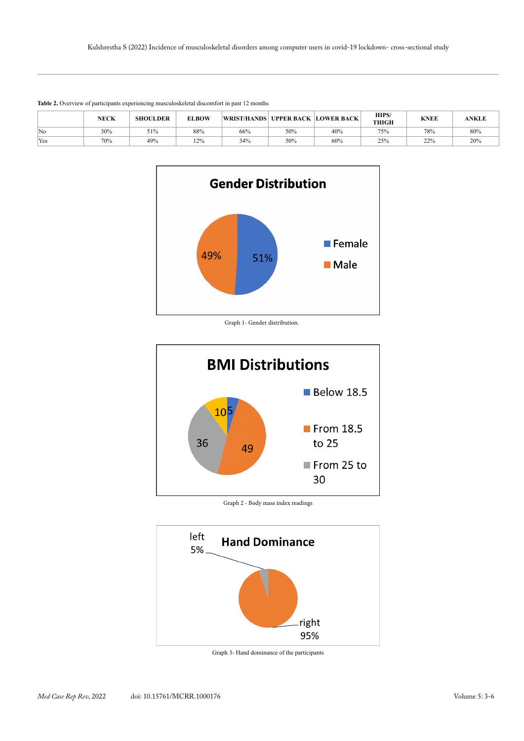| There are on the companies the criterial modellicity in position in page 12 months |             |                 |              |                                          |     |     |                       |             |              |
|------------------------------------------------------------------------------------|-------------|-----------------|--------------|------------------------------------------|-----|-----|-----------------------|-------------|--------------|
|                                                                                    | <b>NECK</b> | <b>SHOULDER</b> | <b>ELBOW</b> | <b>WRIST/HANDS UPPER BACK LOWER BACK</b> |     |     | HIPS/<br><b>THIGH</b> | <b>KNEE</b> | <b>ANKLE</b> |
| No                                                                                 | 30%         | 51%             | 88%          | 66%                                      | 50% | 40% | 75%                   | 78%         | 80%          |
| Yes                                                                                | 70%         | 49%             | 12%          | 34%                                      | 50% | 60% | 25%                   | 22%         | 20%          |





Graph 1- Gender distribution.



Graph 2 - Body mass index readings



Graph 3- Hand dominance of the participants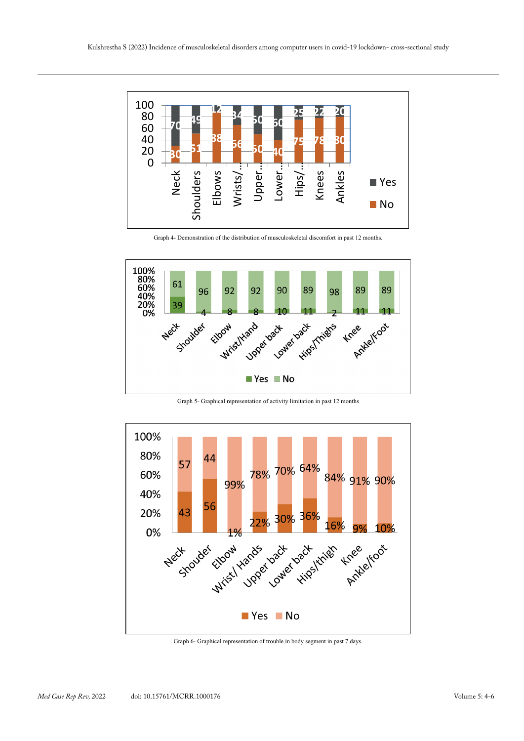

Graph 4- Demonstration of the distribution of musculoskeletal discomfort in past 12 months.



Graph 5- Graphical representation of activity limitation in past 12 months



Graph 6- Graphical representation of trouble in body segment in past 7 days.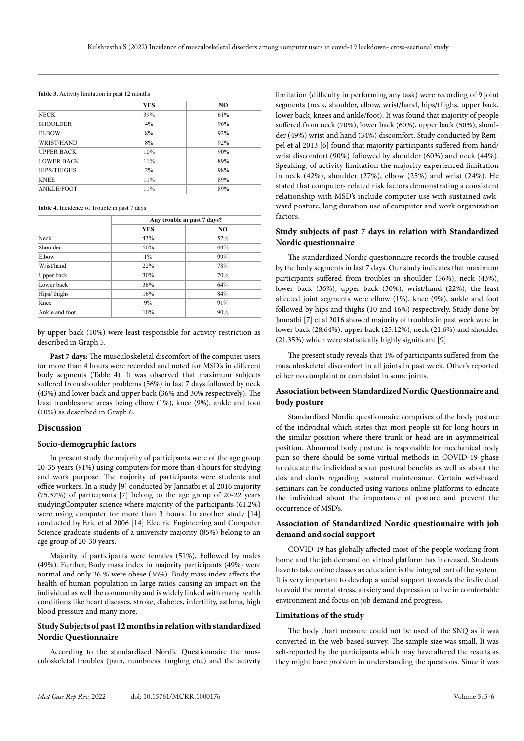|                    | <b>YES</b> | NO. |
|--------------------|------------|-----|
| NECK               | 39%        | 61% |
| <b>SHOULDER</b>    | $4\%$      | 96% |
| <b>ELBOW</b>       | 8%         | 92% |
| WRIST/HAND         | 8%         | 92% |
| <b>UPPER BACK</b>  | 10%        | 90% |
| <b>LOWER BACK</b>  | 11%        | 89% |
| <b>HIPS/THIGHS</b> | $2\%$      | 98% |
| <b>KNEE</b>        | 11%        | 89% |
| <b>ANKLE/FOOT</b>  | 11%        | 89% |

#### **Table 3.** Activity limitation in past 12 months

#### **Table 4.** Incidence of Trouble in past 7 days

|                | Any trouble in past 7 days? |                |  |  |  |
|----------------|-----------------------------|----------------|--|--|--|
|                | <b>YES</b>                  | N <sub>O</sub> |  |  |  |
| Neck           | 43%                         | 57%            |  |  |  |
| Shoulder       | 56%                         | 44%            |  |  |  |
| Elbow          | $1\%$                       | 99%            |  |  |  |
| Wrist/hand     | 22%                         | 78%            |  |  |  |
| Upper back     | 30%                         | 70%            |  |  |  |
| Lower back     | 36%                         | 64%            |  |  |  |
| Hips/thighs    | 16%                         | 84%            |  |  |  |
| Knee           | 9%                          | 91%            |  |  |  |
| Ankle and foot | 10%                         | 90%            |  |  |  |

by upper back (10%) were least responsible for activity restriction as described in Graph 5.

**Past 7 days:** The musculoskeletal discomfort of the computer users for more than 4 hours were recorded and noted for MSD's in different body segments (Table 4). It was observed that maximum subjects suffered from shoulder problems (56%) in last 7 days followed by neck (43%) and lower back and upper back (36% and 30% respectively). The least troublesome areas being elbow (1%), knee (9%), ankle and foot (10%) as described in Graph 6.

## **Discussion**

#### **Socio-demographic factors**

In present study the majority of participants were of the age group 20-35 years (91%) using computers for more than 4 hours for studying and work purpose. The majority of participants were students and office workers. In a study [9] conducted by Jannatbi et al 2016 majority (75.37%) of participants [7] belong to the age group of 20-22 years studyingComputer science where majority of the participants (61.2%) were using computer for more than 3 hours. In another study [14] conducted by Eric et al 2006 [14] Electric Engineering and Computer Science graduate students of a university majority (85%) belong to an age group of 20-30 years.

Majority of participants were females (51%), Followed by males (49%). Further, Body mass index in majority participants (49%) were normal and only 36 % were obese (36%). Body mass index affects the health of human population in large ratios causing an impact on the individual as well the community and is widely linked with many health conditions like heart diseases, stroke, diabetes, infertility, asthma, high blood pressure and many more.

## **Study Subjects of past 12 months in relation with standardized Nordic Questionnaire**

According to the standardized Nordic Questionnaire the musculoskeletal troubles (pain, numbness, tingling etc.) and the activity limitation (difficulty in performing any task) were recording of 9 joint segments (neck, shoulder, elbow, wrist/hand, hips/thighs, upper back, lower back, knees and ankle/foot). It was found that majority of people suffered from neck (70%), lower back (60%), upper back (50%), shoulder (49%) wrist and hand (34%) discomfort. Study conducted by Rempel et al 2013 [6] found that majority participants suffered from hand/ wrist discomfort (90%) followed by shoulder (60%) and neck (44%). Speaking, of activity limitation the majority experienced limitation in neck (42%), shoulder (27%), elbow (25%) and wrist (24%). He stated that computer- related risk factors demonstrating a consistent relationship with MSD's include computer use with sustained awkward posture, long duration use of computer and work organization factors.

## **Study subjects of past 7 days in relation with Standardized Nordic questionnaire**

The standardized Nordic questionnaire records the trouble caused by the body segments in last 7 days. Our study indicates that maximum participants suffered from troubles in shoulder (56%), neck (43%), lower back (36%), upper back (30%), wrist/hand (22%), the least affected joint segments were elbow (1%), knee (9%), ankle and foot followed by hips and thighs (10 and 16%) respectively. Study done by Jannatbi [7] et al 2016 showed majority of troubles in past week were in lower back (28.64%), upper back (25.12%), neck (21.6%) and shoulder (21.35%) which were statistically highly significant [9].

The present study reveals that 1% of participants suffered from the musculoskeletal discomfort in all joints in past week. Other's reported either no complaint or complaint in some joints.

## **Association between Standardized Nordic Questionnaire and body posture**

Standardized Nordic questionnaire comprises of the body posture of the individual which states that most people sit for long hours in the similar position where there trunk or head are in asymmetrical position. Abnormal body posture is responsible for mechanical body pain so there should be some virtual methods in COVID-19 phase to educate the individual about postural benefits as well as about the do's and don'ts regarding postural maintenance. Certain web-based seminars can be conducted using various online platforms to educate the individual about the importance of posture and prevent the occurrence of MSD's.

## **Association of Standardized Nordic questionnaire with job demand and social support**

COVID-19 has globally affected most of the people working from home and the job demand on virtual platform has increased. Students have to take online classes as education is the integral part of the system. It is very important to develop a social support towards the individual to avoid the mental stress, anxiety and depression to live in comfortable environment and focus on job demand and progress.

## **Limitations of the study**

The body chart measure could not be used of the SNQ as it was converted in the web-based survey. The sample size was small. It was self-reported by the participants which may have altered the results as they might have problem in understanding the questions. Since it was